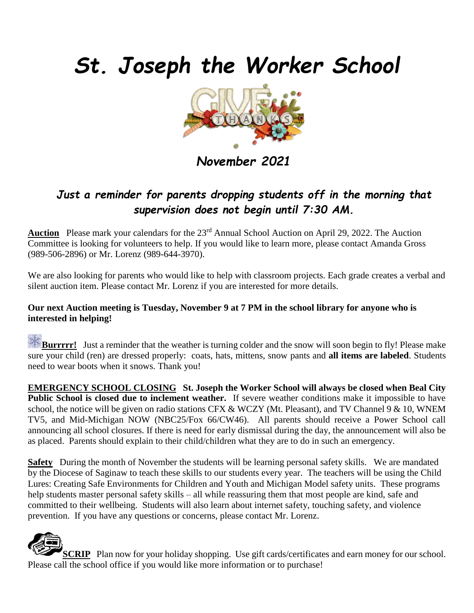# *St. Joseph the Worker School*



*November 2021*

### *Just a reminder for parents dropping students off in the morning that supervision does not begin until 7:30 AM.*

Auction Please mark your calendars for the 23<sup>rd</sup> Annual School Auction on April 29, 2022. The Auction Committee is looking for volunteers to help. If you would like to learn more, please contact Amanda Gross (989-506-2896) or Mr. Lorenz (989-644-3970).

We are also looking for parents who would like to help with classroom projects. Each grade creates a verbal and silent auction item. Please contact Mr. Lorenz if you are interested for more details.

#### **Our next Auction meeting is Tuesday, November 9 at 7 PM in the school library for anyone who is interested in helping!**

**Burrrrr!** Just a reminder that the weather is turning colder and the snow will soon begin to fly! Please make sure your child (ren) are dressed properly: coats, hats, mittens, snow pants and **all items are labeled**. Students need to wear boots when it snows. Thank you!

**EMERGENCY SCHOOL CLOSING St. Joseph the Worker School will always be closed when Beal City Public School is closed due to inclement weather.** If severe weather conditions make it impossible to have school, the notice will be given on radio stations CFX  $& WCZY$  (Mt. Pleasant), and TV Channel 9  $& 10$ , WNEM TV5, and Mid-Michigan NOW (NBC25/Fox 66/CW46). All parents should receive a Power School call announcing all school closures. If there is need for early dismissal during the day, the announcement will also be as placed. Parents should explain to their child/children what they are to do in such an emergency.

**Safety** During the month of November the students will be learning personal safety skills. We are mandated by the Diocese of Saginaw to teach these skills to our students every year. The teachers will be using the Child Lures: Creating Safe Environments for Children and Youth and Michigan Model safety units. These programs help students master personal safety skills – all while reassuring them that most people are kind, safe and committed to their wellbeing. Students will also learn about internet safety, touching safety, and violence prevention. If you have any questions or concerns, please contact Mr. Lorenz.



**SCRIP** Plan now for your holiday shopping. Use gift cards/certificates and earn money for our school. Please call the school office if you would like more information or to purchase!